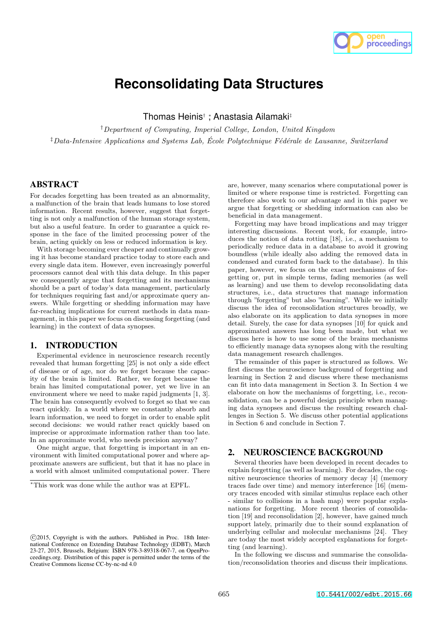

# **Reconsolidating Data Structures**

Thomas Heinis*†* ⇤ , Anastasia Ailamaki*‡*

*†Department of Computing, Imperial College, London, United Kingdom*

*‡Data-Intensive Applications and Systems Lab, Ecole Polytechnique F´ed´erale de Lausanne, Switzerland ´*

# ABSTRACT

For decades forgetting has been treated as an abnormality, a malfunction of the brain that leads humans to lose stored information. Recent results, however, suggest that forgetting is not only a malfunction of the human storage system, but also a useful feature. In order to guarantee a quick response in the face of the limited processing power of the brain, acting quickly on less or reduced information is key.

With storage becoming ever cheaper and continually growing it has become standard practice today to store each and every single data item. However, even increasingly powerful processors cannot deal with this data deluge. In this paper we consequently argue that forgetting and its mechanisms should be a part of today's data management, particularly for techniques requiring fast and/or approximate query answers. While forgetting or shedding information may have far-reaching implications for current methods in data management, in this paper we focus on discussing forgetting (and learning) in the context of data synopses.

# 1. INTRODUCTION

Experimental evidence in neuroscience research recently revealed that human forgetting  $[25]$  is not only a side effect of disease or of age, nor do we forget because the capacity of the brain is limited. Rather, we forget because the brain has limited computational power, yet we live in an environment where we need to make rapid judgments [1, 3]. The brain has consequently evolved to forget so that we can react quickly. In a world where we constantly absorb and learn information, we need to forget in order to enable split second decisions: we would rather react quickly based on imprecise or approximate information rather than too late. In an approximate world, who needs precision anyway?

One might argue, that forgetting is important in an environment with limited computational power and where approximate answers are sufficient, but that it has no place in a world with almost unlimited computational power. There

are, however, many scenarios where computational power is limited or where response time is restricted. Forgetting can therefore also work to our advantage and in this paper we argue that forgetting or shedding information can also be beneficial in data management.

Forgetting may have broad implications and may trigger interesting discussions. Recent work, for example, introduces the notion of data rotting [18], i.e., a mechanism to periodically reduce data in a database to avoid it growing boundless (while ideally also adding the removed data in condensed and curated form back to the database). In this paper, however, we focus on the exact mechanisms of forgetting or, put in simple terms, fading memories (as well as learning) and use them to develop reconsolidating data structures, i.e., data structures that manage information through "forgetting" but also "learning". While we initially discuss the idea of reconsolidation structures broadly, we also elaborate on its application to data synopses in more detail. Surely, the case for data synopses [10] for quick and approximated answers has long been made, but what we discuss here is how to use some of the brains mechanisms to efficiently manage data synopses along with the resulting data management research challenges.

The remainder of this paper is structured as follows. We first discuss the neuroscience background of forgetting and learning in Section 2 and discuss where these mechanisms can fit into data management in Section 3. In Section 4 we elaborate on how the mechanisms of forgetting, i.e., reconsolidation, can be a powerful design principle when managing data synopses and discuss the resulting research challenges in Section 5. We discuss other potential applications in Section 6 and conclude in Section 7.

# 2. NEUROSCIENCE BACKGROUND

Several theories have been developed in recent decades to explain forgetting (as well as learning). For decades, the cognitive neuroscience theories of memory decay [4] (memory traces fade over time) and memory interference [16] (memory traces encoded with similar stimulus replace each other - similar to collisions in a hash map) were popular explanations for forgetting. More recent theories of consolidation [19] and reconsolidation [2], however, have gained much support lately, primarily due to their sound explanation of underlying cellular and molecular mechanisms [24]. They are today the most widely accepted explanations for forgetting (and learning).

In the following we discuss and summarise the consolidation/reconsolidation theories and discuss their implications.

<sup>⇤</sup>This work was done while the author was at EPFL.

c 2015, Copyright is with the authors. Published in Proc. 18th International Conference on Extending Database Technology (EDBT), March 23-27, 2015, Brussels, Belgium: ISBN 978-3-89318-067-7, on OpenProceedings.org. Distribution of this paper is permitted under the terms of the Creative Commons license CC-by-nc-nd 4.0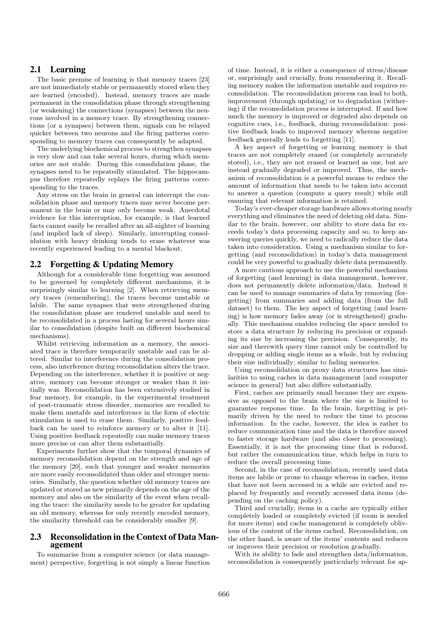# 2.1 Learning

The basic premise of learning is that memory traces [23] are not immediately stable or permanently stored when they are learned (encoded). Instead, memory traces are made permanent in the consolidation phase through strengthening (or weakening) the connections (synapses) between the neurons involved in a memory trace. By strengthening connections (or a synapses) between them, signals can be relayed quicker between two neurons and the firing patterns corresponding to memory traces can consequently be adapted.

The underlying biochemical process to strengthen synapses is very slow and can take several hours, during which memories are not stable. During this consolidation phase, the synapses need to be repeatedly stimulated. The hippocampus therefore repeatedly replays the firing patterns corresponding to the traces.

Any stress on the brain in general can interrupt the consolidation phase and memory traces may never become permanent in the brain or may only become weak. Anecdotal evidence for this interruption, for example, is that learned facts cannot easily be recalled after an all-nighter of learning (and implied lack of sleep). Similarly, interrupting consolidation with heavy drinking tends to erase whatever was recently experienced leading to a mental blackout.

### 2.2 Forgetting & Updating Memory

Although for a considerable time forgetting was assumed to be governed by completely different mechanisms, it is surprisingly similar to learning [2]. When retrieving memory traces (remembering), the traces become unstable or labile. The same synapses that were strengthened during the consolidation phase are rendered unstable and need to be reconsolidated in a process lasting for several hours similar to consolidation (despite built on different biochemical mechanisms).

Whilst retrieving information as a memory, the associated trace is therefore temporarily unstable and can be altered. Similar to interference during the consolidation process, also interference during reconsolidation alters the trace. Depending on the interference, whether it is positive or negative, memory can become stronger or weaker than it initially was. Reconsolidation has been extensively studied in fear memory, for example, in the experimental treatment of post-traumatic stress disorder, memories are recalled to make them unstable and interference in the form of electric stimulation is used to erase them. Similarly, positive feedback can be used to reinforce memory or to alter it [11]. Using positive feedback repeatedly can make memory traces more precise or can alter them substantially.

Experiments further show that the temporal dynamics of memory reconsolidation depend on the strength and age of the memory [20], such that younger and weaker memories are more easily reconsolidated than older and stronger memories. Similarly, the question whether old memory traces are updated or stored as new primarily depends on the age of the memory and also on the similarity of the event when recalling the trace: the similarity needs to be greater for updating an old memory, whereas for only recently encoded memory, the similarity threshold can be considerably smaller [9].

### 2.3 Reconsolidation in the Context of Data Management

To summarise from a computer science (or data management) perspective, forgetting is not simply a linear function of time. Instead, it is either a consequence of stress/disease or, surprisingly and crucially, from remembering it. Recalling memory makes the information unstable and requires reconsolidation. The reconsolidation process can lead to both, improvement (through updating) or to degradation (withering) if the reconsolidation process is interrupted. If and how much the memory is improved or degraded also depends on cognitive cues, i.e., feedback, during reconsolidation: positive feedback leads to improved memory whereas negative feedback generally leads to forgetting [11].

A key aspect of forgetting or learning memory is that traces are not completely erased (or completely accurately stored), i.e., they are not erased or learned as one, but are instead gradually degraded or improved. Thus, the mechanism of reconsolidation is a powerful means to reduce the amount of information that needs to be taken into account to answer a question (compute a query result) while still ensuring that relevant information is retained.

Today's ever-cheaper storage hardware allows storing nearly everything and eliminates the need of deleting old data. Similar to the brain, however, our ability to store data far exceeds today's data processing capacity and so, to keep answering queries quickly, we need to radically reduce the data taken into consideration. Using a mechanism similar to forgetting (and reconsolidation) in today's data management could be very powerful to gradually delete data permanently.

A more cautious approach to use the powerful mechanism of forgetting (and learning) in data management, however, does not permanently delete information/data. Instead it can be used to manage summaries of data by removing (forgetting) from summaries and adding data (from the full dataset) to them. The key aspect of forgetting (and learning) is how memory fades away (or is strengthened) gradually. This mechanism enables reducing the space needed to store a data structure by reducing its precision or expanding its size by increasing the precision. Consequently, its size and therewith query time cannot only be controlled by dropping or adding single items as a whole, but by reducing their size individually; similar to fading memories.

Using reconsolidation on proxy data structures has similarities to using caches in data management (and computer science in general) but also differs substantially.

First, caches are primarily small because they are expensive as opposed to the brain where the size is limited to guarantee response time. In the brain, forgetting is primarily driven by the need to reduce the time to process information. In the cache, however, the idea is rather to reduce communication time and the data is therefore moved to faster storage hardware (and also closer to processing). Essentially, it is not the processing time that is reduced, but rather the communication time, which helps in turn to reduce the overall processing time.

Second, in the case of reconsolidation, recently used data items are labile or prone to change whereas in caches, items that have not been accessed in a while are evicted and replaced by frequently and recently accessed data items (depending on the caching policy).

Third and crucially, items in a cache are typically either completely loaded or completely evicted (if room is needed for more items) and cache management is completely oblivious of the content of the items cached. Reconsolidation, on the other hand, is aware of the items' contents and reduces or improves their precision or resolution gradually.

With its ability to fade and strengthen data/information, reconsolidation is consequently particularly relevant for ap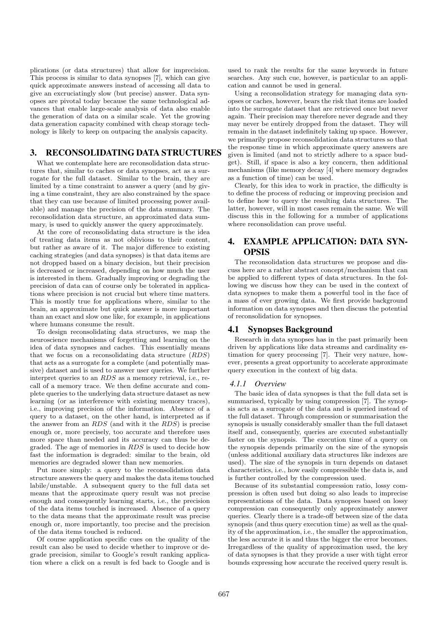plications (or data structures) that allow for imprecision. This process is similar to data synopses [7], which can give quick approximate answers instead of accessing all data to give an excruciatingly slow (but precise) answer. Data synopses are pivotal today because the same technological advances that enable large-scale analysis of data also enable the generation of data on a similar scale. Yet the growing data generation capacity combined with cheap storage technology is likely to keep on outpacing the analysis capacity.

# 3. RECONSOLIDATING DATA STRUCTURES

What we contemplate here are reconsolidation data structures that, similar to caches or data synopses, act as a surrogate for the full dataset. Similar to the brain, they are limited by a time constraint to answer a query (and by giving a time constraint, they are also constrained by the space that they can use because of limited processing power available) and manage the precision of the data summary. The reconsolidation data structure, an approximated data summary, is used to quickly answer the query approximately.

At the core of reconsolidating data structure is the idea of treating data items as not oblivious to their content, but rather as aware of it. The major difference to existing caching strategies (and data synopses) is that data items are not dropped based on a binary decision, but their precision is decreased or increased, depending on how much the user is interested in them. Gradually improving or degrading the precision of data can of course only be tolerated in applications where precision is not crucial but where time matters. This is mostly true for applications where, similar to the brain, an approximate but quick answer is more important than an exact and slow one like, for example, in applications where humans consume the result.

To design reconsolidating data structures, we map the neuroscience mechanisms of forgetting and learning on the idea of data synopses and caches. This essentially means that we focus on a reconsolidating data structure (*RDS*) that acts as a surrogate for a complete (and potentially massive) dataset and is used to answer user queries. We further interpret queries to an *RDS* as a memory retrieval, i.e., recall of a memory trace. We then define accurate and complete queries to the underlying data structure dataset as new learning (or as interference with existing memory traces), i.e., improving precision of the information. Absence of a query to a dataset, on the other hand, is interpreted as if the answer from an *RDS* (and with it the *RDS*) is precise enough or, more precisely, too accurate and therefore uses more space than needed and its accuracy can thus be degraded. The age of memories in *RDS* is used to decide how fast the information is degraded: similar to the brain, old memories are degraded slower than new memories.

Put more simply: a query to the reconsolidation data structure answers the query and makes the data items touched labile/unstable. A subsequent query to the full data set means that the approximate query result was not precise enough and consequently learning starts, i.e., the precision of the data items touched is increased. Absence of a query to the data means that the approximate result was precise enough or, more importantly, too precise and the precision of the data items touched is reduced.

Of course application specific cues on the quality of the result can also be used to decide whether to improve or degrade precision, similar to Google's result ranking application where a click on a result is fed back to Google and is used to rank the results for the same keywords in future searches. Any such cue, however, is particular to an application and cannot be used in general.

Using a reconsolidation strategy for managing data synopses or caches, however, bears the risk that items are loaded into the surrogate dataset that are retrieved once but never again. Their precision may therefore never degrade and they may never be entirely dropped from the dataset. They will remain in the dataset indefinitely taking up space. However, we primarily propose reconsolidation data structures so that the response time in which approximate query answers are given is limited (and not to strictly adhere to a space budget). Still, if space is also a key concern, then additional mechanisms (like memory decay [4] where memory degrades as a function of time) can be used.

Clearly, for this idea to work in practice, the difficulty is to define the process of reducing or improving precision and to define how to query the resulting data structures. The latter, however, will in most cases remain the same. We will discuss this in the following for a number of applications where reconsolidation can prove useful.

# 4. EXAMPLE APPLICATION: DATA SYN-**OPSIS**

The reconsolidation data structures we propose and discuss here are a rather abstract concept/mechanism that can be applied to different types of data structures. In the following we discuss how they can be used in the context of data synopses to make them a powerful tool in the face of a mass of ever growing data. We first provide background information on data synopses and then discuss the potential of reconsolidation for synopses.

### 4.1 Synopses Background

Research in data synopses has in the past primarily been driven by applications like data streams and cardinality estimation for query processing [7]. Their very nature, however, presents a great opportunity to accelerate approximate query execution in the context of big data.

#### *4.1.1 Overview*

The basic idea of data synopses is that the full data set is summarised, typically by using compression [7]. The synopsis acts as a surrogate of the data and is queried instead of the full dataset. Through compression or summarisation the synopsis is usually considerably smaller than the full dataset itself and, consequently, queries are executed substantially faster on the synopsis. The execution time of a query on the synopsis depends primarily on the size of the synopsis (unless additional auxiliary data structures like indexes are used). The size of the synopsis in turn depends on dataset characteristics, i.e., how easily compressible the data is, and is further controlled by the compression used.

Because of its substantial compression ratio, lossy compression is often used but doing so also leads to imprecise representations of the data. Data synopses based on lossy compression can consequently only approximately answer queries. Clearly there is a trade-off between size of the data synopsis (and thus query execution time) as well as the quality of the approximation, i.e., the smaller the approximation, the less accurate it is and thus the bigger the error becomes. Irregardless of the quality of approximation used, the key of data synopses is that they provide a user with tight error bounds expressing how accurate the received query result is.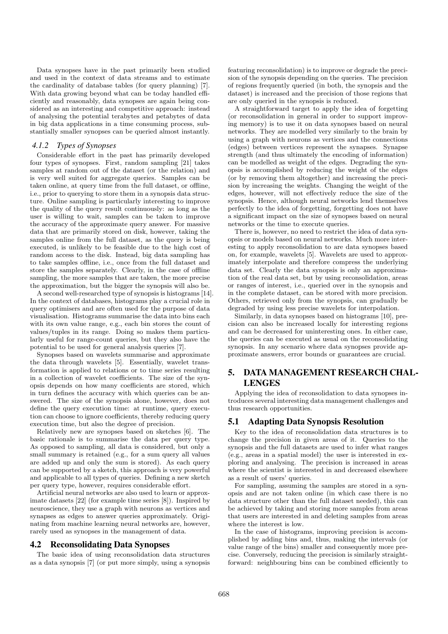Data synopses have in the past primarily been studied and used in the context of data streams and to estimate the cardinality of database tables (for query planning) [7]. With data growing beyond what can be today handled efficiently and reasonably, data synopses are again being considered as an interesting and competitive approach: instead of analysing the potential terabytes and petabytes of data in big data applications in a time consuming process, substantially smaller synopses can be queried almost instantly.

### *4.1.2 Types of Synopses*

Considerable effort in the past has primarily developed four types of synopses. First, random sampling [21] takes samples at random out of the dataset (or the relation) and is very well suited for aggregate queries. Samples can be taken online, at query time from the full dataset, or offline, i.e., prior to querying to store them in a synopsis data structure. Online sampling is particularly interesting to improve the quality of the query result continuously: as long as the user is willing to wait, samples can be taken to improve the accuracy of the approximate query answer. For massive data that are primarily stored on disk, however, taking the samples online from the full dataset, as the query is being executed, is unlikely to be feasible due to the high cost of random access to the disk. Instead, big data sampling has to take samples offline, i.e., once from the full dataset and store the samples separately. Clearly, in the case of offline sampling, the more samples that are taken, the more precise the approximation, but the bigger the synopsis will also be.

A second well-researched type of synopsis is histograms [14]. In the context of databases, histograms play a crucial role in query optimisers and are often used for the purpose of data visualisation. Histograms summarise the data into bins each with its own value range, e.g., each bin stores the count of values/tuples in its range. Doing so makes them particularly useful for range-count queries, but they also have the potential to be used for general analysis queries [7].

Synopses based on wavelets summarise and approximate the data through wavelets [5]. Essentially, wavelet transformation is applied to relations or to time series resulting in a collection of wavelet coefficients. The size of the synopsis depends on how many coefficients are stored, which in turn defines the accuracy with which queries can be answered. The size of the synopsis alone, however, does not define the query execution time: at runtime, query execution can choose to ignore coefficients, thereby reducing query execution time, but also the degree of precision.

Relatively new are synopses based on sketches [6]. The basic rationale is to summarise the data per query type. As opposed to sampling, all data is considered, but only a small summary is retained (e.g., for a sum query all values are added up and only the sum is stored). As each query can be supported by a sketch, this approach is very powerful and applicable to all types of queries. Defining a new sketch per query type, however, requires considerable effort.

Artificial neural networks are also used to learn or approximate datasets [22] (for example time series [8]). Inspired by neuroscience, they use a graph with neurons as vertices and synapses as edges to answer queries approximately. Originating from machine learning neural networks are, however, rarely used as synopses in the management of data.

#### 4.2 Reconsolidating Data Synopses

The basic idea of using reconsolidation data structures as a data synopsis [7] (or put more simply, using a synopsis featuring reconsolidation) is to improve or degrade the precision of the synopsis depending on the queries. The precision of regions frequently queried (in both, the synopsis and the dataset) is increased and the precision of those regions that are only queried in the synopsis is reduced.

A straightforward target to apply the idea of forgetting (or reconsolidation in general in order to support improving memory) is to use it on data synopses based on neural networks. They are modelled very similarly to the brain by using a graph with neurons as vertices and the connections (edges) between vertices represent the synapses. Synapse strength (and thus ultimately the encoding of information) can be modelled as weight of the edges. Degrading the synopsis is accomplished by reducing the weight of the edges (or by removing them altogether) and increasing the precision by increasing the weights. Changing the weight of the edges, however, will not effectively reduce the size of the synopsis. Hence, although neural networks lend themselves perfectly to the idea of forgetting, forgetting does not have a significant impact on the size of synopses based on neural networks or the time to execute queries.

There is, however, no need to restrict the idea of data synopsis or models based on neural networks. Much more interesting to apply reconsolidation to are data synopses based on, for example, wavelets [5]. Wavelets are used to approximately interpolate and therefore compress the underlying data set. Clearly the data synopsis is only an approximation of the real data set, but by using reconsolidation, areas or ranges of interest, i.e., queried over in the synopsis and in the complete dataset, can be stored with more precision. Others, retrieved only from the synopsis, can gradually be degraded by using less precise wavelets for interpolation.

Similarly, in data synopses based on histograms [10], precision can also be increased locally for interesting regions and can be decreased for uninteresting ones. In either case, the queries can be executed as usual on the reconsolidating synopsis. In any scenario where data synopses provide approximate answers, error bounds or guarantees are crucial.

# 5. DATA MANAGEMENT RESEARCH CHAL-LENGES

Applying the idea of reconsolidation to data synopses introduces several interesting data management challenges and thus research opportunities.

#### 5.1 Adapting Data Synopsis Resolution

Key to the idea of reconsolidation data structures is to change the precision in given areas of it. Queries to the synopsis and the full datasets are used to infer what ranges (e.g., areas in a spatial model) the user is interested in exploring and analysing. The precision is increased in areas where the scientist is interested in and decreased elsewhere as a result of users' queries.

For sampling, assuming the samples are stored in a synopsis and are not taken online (in which case there is no data structure other than the full dataset needed), this can be achieved by taking and storing more samples from areas that users are interested in and deleting samples from areas where the interest is low.

In the case of histograms, improving precision is accomplished by adding bins and, thus, making the intervals (or value range of the bins) smaller and consequently more precise. Conversely, reducing the precision is similarly straightforward: neighbouring bins can be combined efficiently to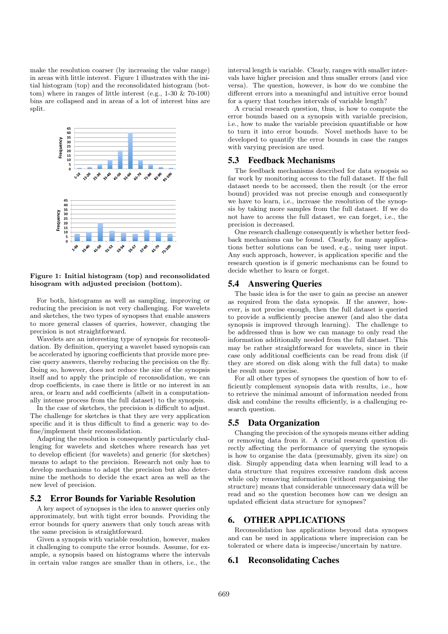make the resolution coarser (by increasing the value range) in areas with little interest. Figure 1 illustrates with the initial histogram (top) and the reconsolidated histogram (bottom) where in ranges of little interest (e.g., 1-30 & 70-100) bins are collapsed and in areas of a lot of interest bins are split.



Figure 1: Initial histogram (top) and reconsolidated hisogram with adjusted precision (bottom).

For both, histograms as well as sampling, improving or reducing the precision is not very challenging. For wavelets and sketches, the two types of synopses that enable answers to more general classes of queries, however, changing the precision is not straightforward.

Wavelets are an interesting type of synopsis for reconsolidation. By definition, querying a wavelet based synopsis can be accelerated by ignoring coefficients that provide more precise query answers, thereby reducing the precision on the fly. Doing so, however, does not reduce the size of the synopsis itself and to apply the principle of reconsolidation, we can drop coefficients, in case there is little or no interest in an area, or learn and add coefficients (albeit in a computationally intense process from the full dataset) to the synopsis.

In the case of sketches, the precision is difficult to adjust. The challenge for sketches is that they are very application specific and it is thus difficult to find a generic way to define/implement their reconsolidation.

Adapting the resolution is consequently particularly challenging for wavelets and sketches where research has yet to develop efficient (for wavelets) and generic (for sketches) means to adapt to the precision. Research not only has to develop mechanisms to adapt the precision but also determine the methods to decide the exact area as well as the new level of precision.

### 5.2 Error Bounds for Variable Resolution

A key aspect of synopses is the idea to answer queries only approximately, but with tight error bounds. Providing the error bounds for query answers that only touch areas with the same precision is straightforward.

Given a synopsis with variable resolution, however, makes it challenging to compute the error bounds. Assume, for example, a synopsis based on histograms where the intervals in certain value ranges are smaller than in others, i.e., the interval length is variable. Clearly, ranges with smaller intervals have higher precision and thus smaller errors (and vice versa). The question, however, is how do we combine the different errors into a meaningful and intuitive error bound for a query that touches intervals of variable length?

A crucial research question, thus, is how to compute the error bounds based on a synopsis with variable precision, i.e., how to make the variable precision quantifiable or how to turn it into error bounds. Novel methods have to be developed to quantify the error bounds in case the ranges with varying precision are used.

### 5.3 Feedback Mechanisms

The feedback mechanisms described for data synopsis so far work by monitoring access to the full dataset. If the full dataset needs to be accessed, then the result (or the error bound) provided was not precise enough and consequently we have to learn, i.e., increase the resolution of the synopsis by taking more samples from the full dataset. If we do not have to access the full dataset, we can forget, i.e., the precision is decreased.

One research challenge consequently is whether better feedback mechanisms can be found. Clearly, for many applications better solutions can be used, e.g., using user input. Any such approach, however, is application specific and the research question is if generic mechanisms can be found to decide whether to learn or forget.

### 5.4 Answering Queries

The basic idea is for the user to gain as precise an answer as required from the data synopsis. If the answer, however, is not precise enough, then the full dataset is queried to provide a sufficiently precise answer (and also the data synopsis is improved through learning). The challenge to be addressed thus is how we can manage to only read the information additionally needed from the full dataset. This may be rather straightforward for wavelets, since in their case only additional coefficients can be read from disk (if they are stored on disk along with the full data) to make the result more precise.

For all other types of synopses the question of how to efficiently complement synopsis data with results, i.e., how to retrieve the minimal amount of information needed from disk and combine the results efficiently, is a challenging research question.

## 5.5 Data Organization

Changing the precision of the synopsis means either adding or removing data from it. A crucial research question directly affecting the performance of querying the synopsis is how to organise the data (presumably, given its size) on disk. Simply appending data when learning will lead to a data structure that requires excessive random disk access while only removing information (without reorganising the structure) means that considerable unnecessary data will be read and so the question becomes how can we design an updated efficient data structure for synopses?

### 6. OTHER APPLICATIONS

Reconsolidation has applications beyond data synopses and can be used in applications where imprecision can be tolerated or where data is imprecise/uncertain by nature.

## 6.1 Reconsolidating Caches